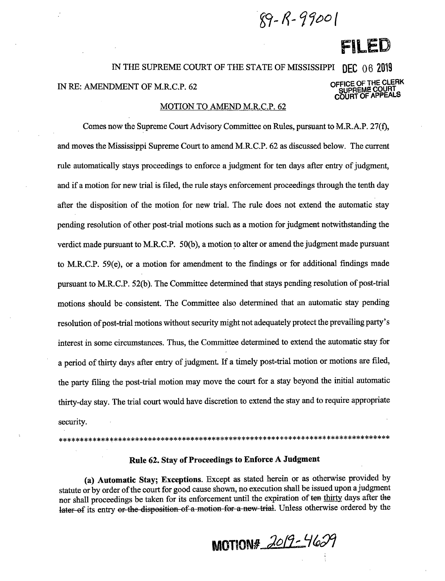$89 - R - 99001$ 

# FILED

## IN THE SUPREME COURT OF THE STATE OF MISSISSIPPI DEC 06 2019 OFFICE OF THE CLERK IN RE: AMENDMENT OF M.R.C.P. 62 SUPREME COURT<br>COURT OF APPEALS

#### MOTION TO AMEND M.R.C.P. 62

Comes now the Supreme Court Advisory Committee on Rules, pursuant to M.R.A.P. 27(f), and moves the Mississippi Supreme Court to amend M.R.C.P. 62 as discussed below. The current rule automatically stays proceedings to enforce a judgment for ten days after entry of judgment, and if a motion for new trial is filed, the rule stays enforcement proceedings through the tenth day after the disposition of the motion for new trial. The rule does not extend the automatic stay pending resolution of other post-trial motions such as a motion for judgment notwithstanding the verdict made pursuant to M.R.C.P. 50(b), a motion to alter or amend the judgment made pursuant to M.R.C.P. 59(e), or a motion for amendment to the findings or for additional findings made pursuant to M.R.C.P. 52(b). The Committee determined that stays pending resolution of post-trial motions should be consistent. The Committee also determined that an automatic stay pending resolution of post-trial motions without security might not adequately protect the prevailing party's interest in some circumstances. Thus, the Committee determined to extend the automatic stay for a period of thirty days after entry of judgment. If a timely post-trial motion or motions are filed, the party filing the post-trial motion may move the court for a stay beyond the initial automatic thirty-day stay. The trial court would have discretion to extend the stay and to require appropriate security.

#### Rule 62. Stay of Proceedings to Enforce A Judgment

(a) Automatic Stay; Exceptions. Except as stated herein or as otherwise provided by statute or by order of the court for good cause shown, no execution shall be issued upon a judgment nor shall proceedings be taken for its enforcement until the expiration of ten thirty days after the later of its entry or the disposition of a motion for a new trial. Unless otherwise ordered by the

MOTION# 2019-4629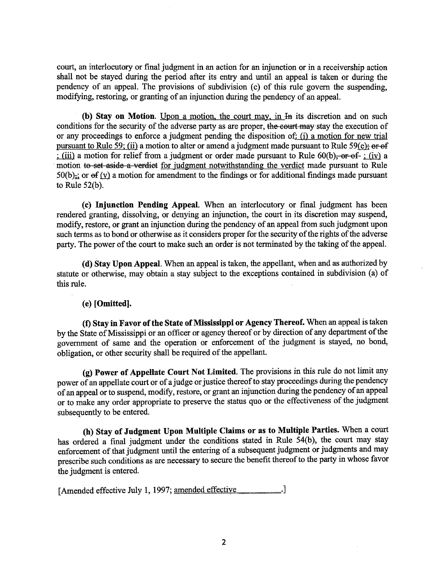court, an interlocutory or final judgment in an action for an injunction or in a receivership action shall not be stayed during the period after its entry and until an appeal is taken or during the pendency of an appeal. The provisions of subdivision (c) of this rule govern the suspending. modifying, restoring, or granting of an injunction during the pendency of an appeal.

**(b) Stay on Motion.** Upon a motion, the court may, in I<sub>R</sub> its discretion and on such conditions for the security of the adverse party as are proper, the eourt may stay the execution of or any proceedings to enforce a judgment pending the disposition of: (i) a motion for new trial pursuant to Rule 59; (ii) a motion to alter or amend a judgment made pursuant to Rule 59(e); or of : (iii) a motion for relief from a judgment or order made pursuant to Rule 60(b), or of ; (iv) a motion to set aside a verdict for judgment notwithstanding the verdict made pursuant to Rule 50(b),; or  $\Theta$  (v) a motion for amendment to the findings or for additional findings made pursuant to Rule  $52(b)$ .

**(c) Injunction Pending Appeal.** When an interlocutory or final judgment has been rendered granting, dissolving, or denying an injunction, the court in its discretion may suspend, modify, restore, or grant an injunction during the pendency of an appeal from such judgment upon such terms as to bond or otherwise as it considers proper for the security of the rights of the adverse party. The power of the court to make such an order is not terminated by the taking of the appeal.

( **d) Stay Upon Appeal.** When an appeal is taken, the appellant, when and as authorized by statute or otherwise, may obtain a stay subject to the exceptions contained in subdivision (a) of this rule.

### **(e) [Omitted].**

**(t) Stay in Favor of the State of Mississippi or Agency Thereof.** When an appeal is taken by the State of Mississippi or an officer or agency thereof or by direction of any department of the government of same and the operation or enforcement of the judgment is stayed, no bond, obligation, or other security shall be required of the appellant.

**(g) Power of Appellate Court Not Limited.** The provisions in this rule do not limit any power of an appellate court or of a judge or justice thereof to stay proceedings during the pendency of an appeal or to suspend, modify, restore, or grant an injunction during the pendency of an appeal or to make any order appropriate to preserve the status quo or the effectiveness of the judgment subsequently to be entered.

**(h) Stay of Judgment Upon Multiple Claims or as to Multiple Parties.** When a court has ordered a final judgment under the conditions stated in Rule 54(b), the court may stay enforcement of that judgment until the entering of a subsequent judgment or judgments and may prescribe such conditions as are necessary to secure the benefit thereof to the party in whose favor the judgment is entered.

[Amended effective July 1, 1997; amended effective ..............................]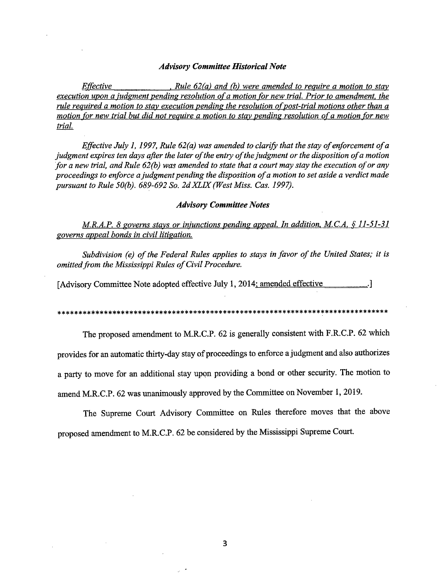#### *Advisory Committee Historical Note*

*Effective* , *Rule 62(a) and (b) were amended to require a motion to stay execution upon a ;udgment pending resolution of a motion for new trial. Prior to amendment, the rule required a motion to stay execution pending the resolution of post-trial motions other than a motion for new trial but did not require a motion to stay pending resolution of a motion for new trial.* 

*Effective July 1, 1997, Rule 62(a) was amended to clarify that the stay of enforcement of a judgment expires ten days after the later of the entry of the judgment or the disposition of a motion for a new trial, and Rule 62(b) was amended to state that a court may stay the execution of or any proceedings to enforce a judgment pending the disposition of a motion to set aside a verdict made pursuant to Rule 50(b). 689-692 So. 2dXLIX (West Miss. Cas. 1997).* 

#### *Advisory Committee Notes*

*M.R.A.P. 8 governs stays or injunctions pending appeal. In addition, M.C.A. § 11-51-31 governs appeal bonds in civil litigation.* 

*Subdivision (e) of the Federal Rules applies to stays in favor of the United States; it is omitted from the Mississippi Rules of Civil Procedure.* 

[Advisory Committee Note adopted effective July 1, 2014; amended effective .........................]

\*\*\*\*\*\*\*\*\*\*\*\*\*\*\*\*\*\*\*\*\*\*\*\*\*\*\*\*\*\*\*\*\*\*\*\*\*\*\*\*\*\*\*\*\*\*\*\*\*\*\*\*\*\*\*\*\*\*\*\*\*\*\*\*\*\*\*\*\*\*\*\*\*\*\*\*\*\*

The proposed amendment to M.R.C.P. 62 is generally consistent with F.R.C.P. 62 which

provides for an automatic thirty-day stay of proceedings to enforce a judgment and also authorizes

a party to move for an additional stay upon providing a bond or other security. The motion to

amend M.R.C.P. 62 was unanimously approved by the Committee on November 1, 2019.

The Supreme Court Advisory Committee on Rules therefore moves that the above proposed amendment to M.R.C.P. 62 be considered by the Mississippi Supreme Court.